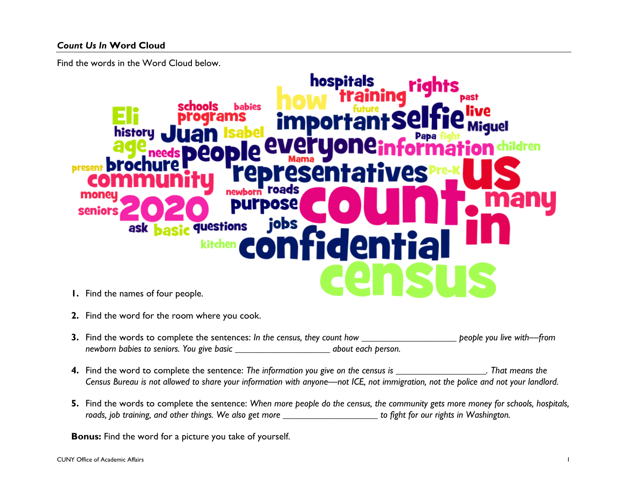Find the words in the Word Cloud below.



- **2.** Find the word for the room where you cook.
- **3.** Find the words to complete the sentences: *In the census, they count how \_\_\_\_\_\_\_\_\_\_\_\_\_\_\_\_\_\_\_\_ people you live with—from newborn babies to seniors. You give basic \_\_\_\_\_\_\_\_\_\_\_\_\_\_\_\_\_\_\_\_ about each person.*
- **4.** Find the word to complete the sentence: *The information you give on the census is \_\_\_\_\_\_\_\_\_\_\_\_\_\_\_\_\_\_\_. That means the Census Bureau is not allowed to share your information with anyone—not ICE, not immigration, not the police and not your landlord.*
- **5.** Find the words to complete the sentence: *When more people do the census, the community gets more money for schools, hospitals, roads, job training, and other things. We also get more \_\_\_\_\_\_\_\_\_\_\_\_\_\_\_\_\_\_\_\_ to fight for our rights in Washington.*

**Bonus:** Find the word for a picture you take of yourself.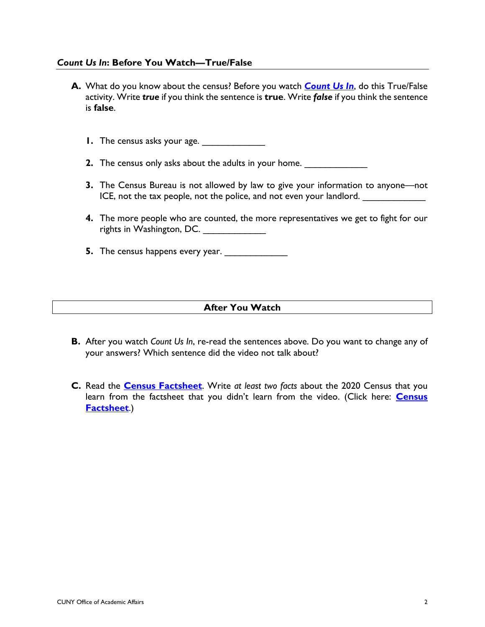#### *Count Us In***: Before You Watch—True/False**

- **A.** What do you know about the census? Before you watch *[Count Us In](https://wespeaknyc.cityofnewyork.us/episodes/count-us-in/)*, do this True/False activity. Write *true* if you think the sentence is **true**. Write *false* if you think the sentence is **false**.
	- **1.** The census asks your age.
	- **2.** The census only asks about the adults in your home.
	- **3.** The Census Bureau is not allowed by law to give your information to anyone—not ICE, not the tax people, not the police, and not even your landlord.
	- **4.** The more people who are counted, the more representatives we get to fight for our rights in Washington, DC. \_\_\_\_\_\_\_\_\_\_\_\_
	- **5.** The census happens every year.

#### **After You Watch**

- **B.** After you watch *Count Us In*, re-read the sentences above. Do you want to change any of your answers? Which sentence did the video not talk about?
- **C.** Read the **[Census Factsheet](http://wespeaknyc.cityofnewyork.us/wp-content/uploads/2020/03/census_agency-factsheet_EN1.pdf)**. Write *at least two facts* about the 2020 Census that you learn from the factsheet that you didn't learn from the video. (Click here: **[Census](http://wespeaknyc.cityofnewyork.us/wp-content/uploads/2020/03/census_agency-factsheet_EN1.pdf) [Factsheet](http://wespeaknyc.cityofnewyork.us/wp-content/uploads/2020/03/census_agency-factsheet_EN1.pdf)**.)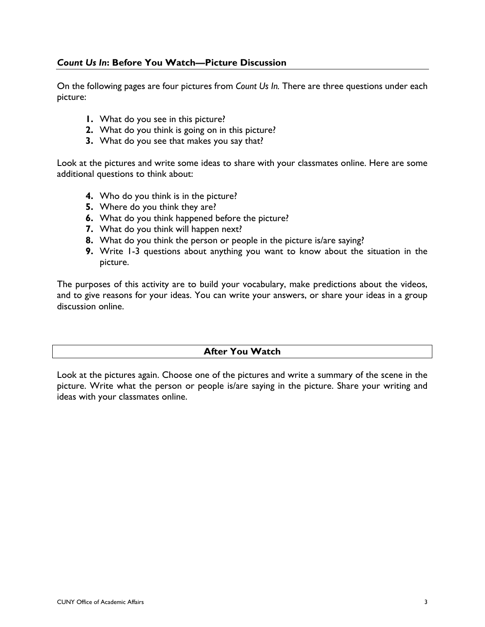## *Count Us In***: Before You Watch—Picture Discussion**

On the following pages are four pictures from *Count Us In.* There are three questions under each picture:

- **1.** What do you see in this picture?
- **2.** What do you think is going on in this picture?
- **3.** What do you see that makes you say that?

Look at the pictures and write some ideas to share with your classmates online. Here are some additional questions to think about:

- **4.** Who do you think is in the picture?
- **5.** Where do you think they are?
- **6.** What do you think happened before the picture?
- **7.** What do you think will happen next?
- **8.** What do you think the person or people in the picture is/are saying?
- **9.** Write 1-3 questions about anything you want to know about the situation in the picture.

The purposes of this activity are to build your vocabulary, make predictions about the videos, and to give reasons for your ideas. You can write your answers, or share your ideas in a group discussion online.

## **After You Watch**

Look at the pictures again. Choose one of the pictures and write a summary of the scene in the picture. Write what the person or people is/are saying in the picture. Share your writing and ideas with your classmates online.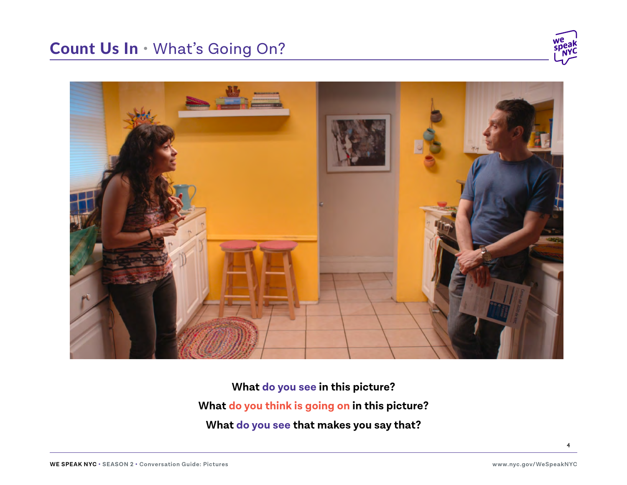# Count Us In • What's Going On?





**What do you see in this picture? What do you think is going on in this picture? What do you see that makes you say that?**

4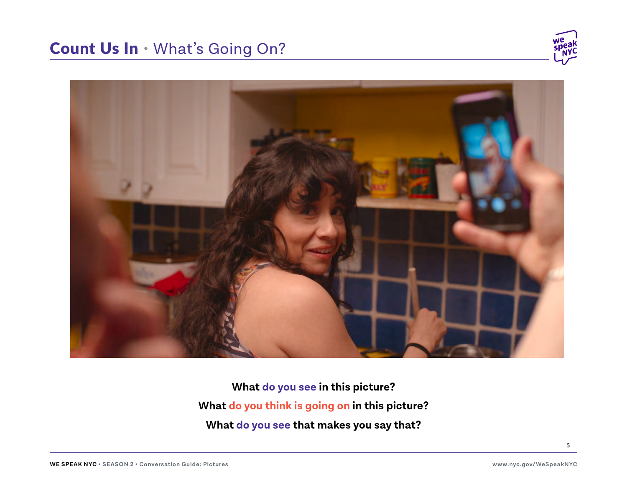# Count Us In • What's Going On?





**What do you see in this picture? What do you think is going on in this picture? What do you see that makes you say that?**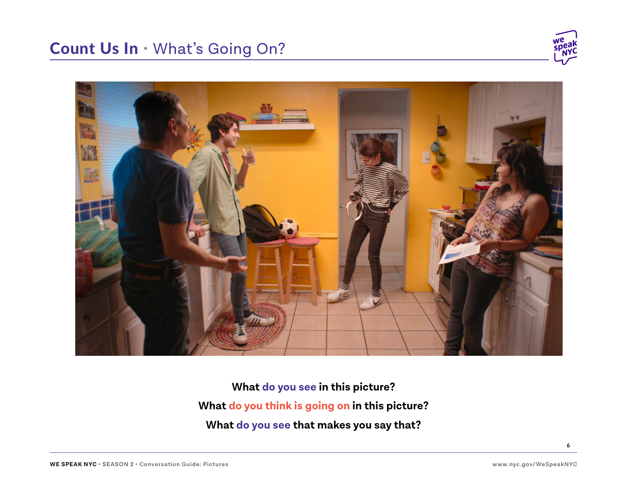



**What do you see in this picture? What do you think is going on in this picture? What do you see that makes you say that?**

6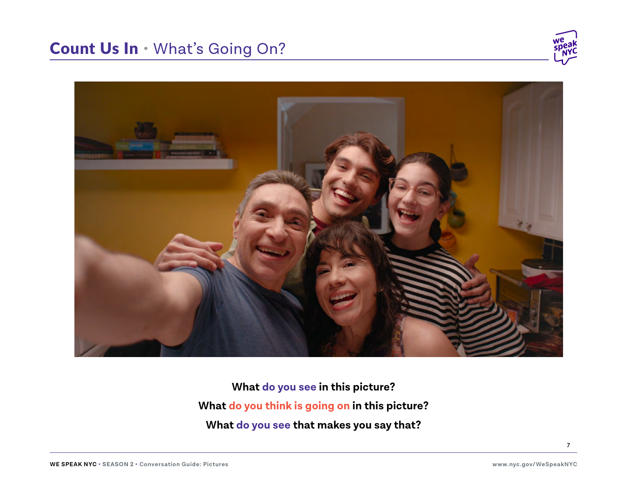



**What do you see in this picture? What do you think is going on in this picture? What do you see that makes you say that?**

7